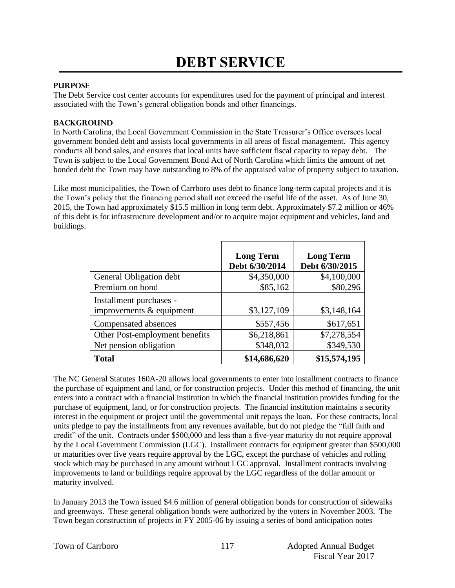#### **PURPOSE**

The Debt Service cost center accounts for expenditures used for the payment of principal and interest associated with the Town's general obligation bonds and other financings.

#### **BACKGROUND**

In North Carolina, the Local Government Commission in the State Treasurer's Office oversees local government bonded debt and assists local governments in all areas of fiscal management. This agency conducts all bond sales, and ensures that local units have sufficient fiscal capacity to repay debt. The Town is subject to the Local Government Bond Act of North Carolina which limits the amount of net bonded debt the Town may have outstanding to 8% of the appraised value of property subject to taxation.

Like most municipalities, the Town of Carrboro uses debt to finance long-term capital projects and it is the Town's policy that the financing period shall not exceed the useful life of the asset. As of June 30, 2015, the Town had approximately \$15.5 million in long term debt. Approximately \$7.2 million or 46% of this debt is for infrastructure development and/or to acquire major equipment and vehicles, land and buildings.

|                                                       | <b>Long Term</b><br>Debt 6/30/2014 | <b>Long Term</b><br>Debt 6/30/2015 |
|-------------------------------------------------------|------------------------------------|------------------------------------|
| General Obligation debt                               | \$4,350,000                        | \$4,100,000                        |
| Premium on bond                                       | \$85,162                           | \$80,296                           |
| Installment purchases -<br>improvements $&$ equipment | \$3,127,109                        | \$3,148,164                        |
| Compensated absences                                  | \$557,456                          | \$617,651                          |
| Other Post-employment benefits                        | \$6,218,861                        | \$7,278,554                        |
| Net pension obligation                                | \$348,032                          | \$349,530                          |
| <b>Total</b>                                          | \$14,686,620                       | \$15,574,195                       |

The NC General Statutes 160A-20 allows local governments to enter into installment contracts to finance the purchase of equipment and land, or for construction projects. Under this method of financing, the unit enters into a contract with a financial institution in which the financial institution provides funding for the purchase of equipment, land, or for construction projects. The financial institution maintains a security interest in the equipment or project until the governmental unit repays the loan. For these contracts, local units pledge to pay the installments from any revenues available, but do not pledge the "full faith and credit" of the unit. Contracts under \$500,000 and less than a five-year maturity do not require approval by the Local Government Commission (LGC). Installment contracts for equipment greater than \$500,000 or maturities over five years require approval by the LGC, except the purchase of vehicles and rolling stock which may be purchased in any amount without LGC approval. Installment contracts involving improvements to land or buildings require approval by the LGC regardless of the dollar amount or maturity involved.

In January 2013 the Town issued \$4.6 million of general obligation bonds for construction of sidewalks and greenways. These general obligation bonds were authorized by the voters in November 2003. The Town began construction of projects in FY 2005-06 by issuing a series of bond anticipation notes

|  |  | Town of Carrboro |
|--|--|------------------|
|--|--|------------------|